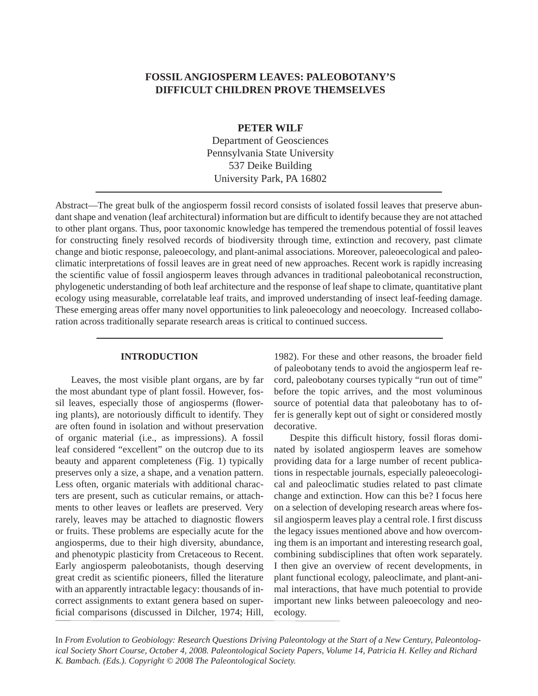# **FOSSIL ANGIOSPERM LEAVES: PALEOBOTANY'S DIFFICULT CHILDREN PROVE THEMSELVES**

### **PETER WILF**

Department of Geosciences Pennsylvania State University 537 Deike Building University Park, PA 16802

Abstract—The great bulk of the angiosperm fossil record consists of isolated fossil leaves that preserve abundant shape and venation (leaf architectural) information but are difficult to identify because they are not attached to other plant organs. Thus, poor taxonomic knowledge has tempered the tremendous potential of fossil leaves for constructing finely resolved records of biodiversity through time, extinction and recovery, past climate change and biotic response, paleoecology, and plant-animal associations. Moreover, paleoecological and paleoclimatic interpretations of fossil leaves are in great need of new approaches. Recent work is rapidly increasing the scientific value of fossil angiosperm leaves through advances in traditional paleobotanical reconstruction, phylogenetic understanding of both leaf architecture and the response of leaf shape to climate, quantitative plant ecology using measurable, correlatable leaf traits, and improved understanding of insect leaf-feeding damage. These emerging areas offer many novel opportunities to link paleoecology and neoecology. Increased collaboration across traditionally separate research areas is critical to continued success.

#### **INTRODUCTION**

 Leaves, the most visible plant organs, are by far the most abundant type of plant fossil. However, fossil leaves, especially those of angiosperms (flowering plants), are notoriously difficult to identify. They are often found in isolation and without preservation of organic material (i.e., as impressions). A fossil leaf considered "excellent" on the outcrop due to its beauty and apparent completeness (Fig. 1) typically preserves only a size, a shape, and a venation pattern. Less often, organic materials with additional characters are present, such as cuticular remains, or attachments to other leaves or leaflets are preserved. Very rarely, leaves may be attached to diagnostic flowers or fruits. These problems are especially acute for the angiosperms, due to their high diversity, abundance, and phenotypic plasticity from Cretaceous to Recent. Early angiosperm paleobotanists, though deserving great credit as scientific pioneers, filled the literature with an apparently intractable legacy: thousands of incorrect assignments to extant genera based on superficial comparisons (discussed in Dilcher, 1974; Hill,

1982). For these and other reasons, the broader field of paleobotany tends to avoid the angiosperm leaf record, paleobotany courses typically "run out of time" before the topic arrives, and the most voluminous source of potential data that paleobotany has to offer is generally kept out of sight or considered mostly decorative.

Despite this difficult history, fossil floras dominated by isolated angiosperm leaves are somehow providing data for a large number of recent publications in respectable journals, especially paleoecological and paleoclimatic studies related to past climate change and extinction. How can this be? I focus here on a selection of developing research areas where fossil angiosperm leaves play a central role. I first discuss the legacy issues mentioned above and how overcoming them is an important and interesting research goal, combining subdisciplines that often work separately. I then give an overview of recent developments, in plant functional ecology, paleoclimate, and plant-animal interactions, that have much potential to provide important new links between paleoecology and neoecology.

In *From Evolution to Geobiology: Research Questions Driving Paleontology at the Start of a New Century, Paleontological Society Short Course, October 4, 2008. Paleontological Society Papers, Volume 14, Patricia H. Kelley and Richard K. Bambach. (Eds.). Copyright © 2008 The Paleontological Society.*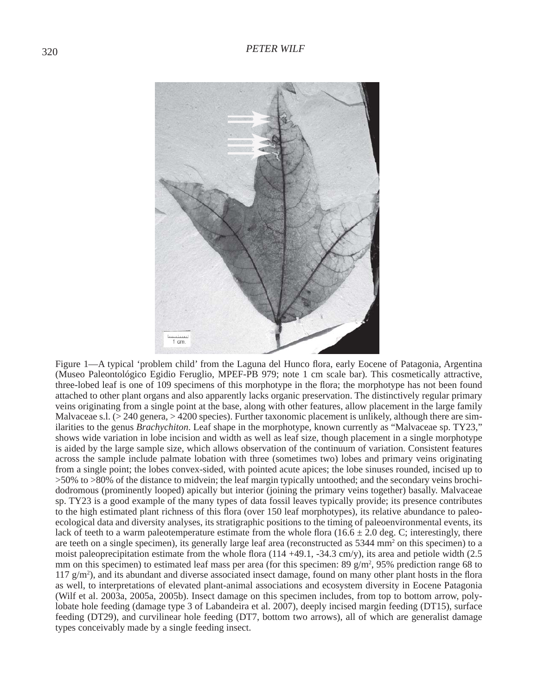

Figure 1—A typical 'problem child' from the Laguna del Hunco flora, early Eocene of Patagonia, Argentina (Museo Paleontológico Egidio Feruglio, MPEF-PB 979; note 1 cm scale bar). This cosmetically attractive, three-lobed leaf is one of 109 specimens of this morphotype in the flora; the morphotype has not been found attached to other plant organs and also apparently lacks organic preservation. The distinctively regular primary veins originating from a single point at the base, along with other features, allow placement in the large family Malvaceae s.l. ( $>$  240 genera,  $>$  4200 species). Further taxonomic placement is unlikely, although there are similarities to the genus *Brachychiton*. Leaf shape in the morphotype, known currently as "Malvaceae sp. TY23," shows wide variation in lobe incision and width as well as leaf size, though placement in a single morphotype is aided by the large sample size, which allows observation of the continuum of variation. Consistent features across the sample include palmate lobation with three (sometimes two) lobes and primary veins originating from a single point; the lobes convex-sided, with pointed acute apices; the lobe sinuses rounded, incised up to >50% to >80% of the distance to midvein; the leaf margin typically untoothed; and the secondary veins brochidodromous (prominently looped) apically but interior (joining the primary veins together) basally. Malvaceae sp. TY23 is a good example of the many types of data fossil leaves typically provide; its presence contributes to the high estimated plant richness of this flora (over 150 leaf morphotypes), its relative abundance to paleoecological data and diversity analyses, its stratigraphic positions to the timing of paleoenvironmental events, its lack of teeth to a warm paleotemperature estimate from the whole flora ( $16.6 \pm 2.0$  deg. C; interestingly, there are teeth on a single specimen), its generally large leaf area (reconstructed as 5344 mm<sup>2</sup> on this specimen) to a moist paleoprecipitation estimate from the whole flora  $(114 + 49.1, -34.3 \text{ cm/y})$ , its area and petiole width  $(2.5 \text{ m/y})$ mm on this specimen) to estimated leaf mass per area (for this specimen:  $89 \text{ g/m}^2$ ,  $95\%$  prediction range 68 to  $117 \text{ g/m}^2$ ), and its abundant and diverse associated insect damage, found on many other plant hosts in the flora as well, to interpretations of elevated plant-animal associations and ecosystem diversity in Eocene Patagonia (Wilf et al. 2003a, 2005a, 2005b). Insect damage on this specimen includes, from top to bottom arrow, polylobate hole feeding (damage type 3 of Labandeira et al. 2007), deeply incised margin feeding (DT15), surface feeding (DT29), and curvilinear hole feeding (DT7, bottom two arrows), all of which are generalist damage types conceivably made by a single feeding insect.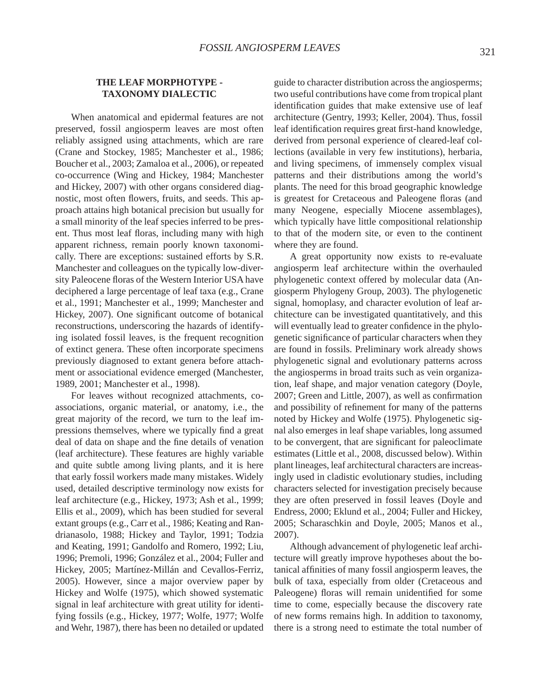### **THE LEAF MORPHOTYPE - TAXONOMY DIALECTIC**

 When anatomical and epidermal features are not preserved, fossil angiosperm leaves are most often reliably assigned using attachments, which are rare (Crane and Stockey, 1985; Manchester et al., 1986; Boucher et al., 2003; Zamaloa et al., 2006), or repeated co-occurrence (Wing and Hickey, 1984; Manchester and Hickey, 2007) with other organs considered diagnostic, most often flowers, fruits, and seeds. This approach attains high botanical precision but usually for a small minority of the leaf species inferred to be present. Thus most leaf floras, including many with high apparent richness, remain poorly known taxonomically. There are exceptions: sustained efforts by S.R. Manchester and colleagues on the typically low-diversity Paleocene floras of the Western Interior USA have deciphered a large percentage of leaf taxa (e.g., Crane et al., 1991; Manchester et al., 1999; Manchester and Hickey, 2007). One significant outcome of botanical reconstructions, underscoring the hazards of identifying isolated fossil leaves, is the frequent recognition of extinct genera. These often incorporate specimens previously diagnosed to extant genera before attachment or associational evidence emerged (Manchester, 1989, 2001; Manchester et al., 1998).

 For leaves without recognized attachments, coassociations, organic material, or anatomy, i.e., the great majority of the record, we turn to the leaf impressions themselves, where we typically find a great deal of data on shape and the fine details of venation (leaf architecture). These features are highly variable and quite subtle among living plants, and it is here that early fossil workers made many mistakes. Widely used, detailed descriptive terminology now exists for leaf architecture (e.g., Hickey, 1973; Ash et al., 1999; Ellis et al., 2009), which has been studied for several extant groups (e.g., Carr et al., 1986; Keating and Randrianasolo, 1988; Hickey and Taylor, 1991; Todzia and Keating, 1991; Gandolfo and Romero, 1992; Liu, 1996; Premoli, 1996; González et al., 2004; Fuller and Hickey, 2005; Martínez-Millán and Cevallos-Ferriz, 2005). However, since a major overview paper by Hickey and Wolfe (1975), which showed systematic signal in leaf architecture with great utility for identifying fossils (e.g., Hickey, 1977; Wolfe, 1977; Wolfe and Wehr, 1987), there has been no detailed or updated

guide to character distribution across the angiosperms; two useful contributions have come from tropical plant identification guides that make extensive use of leaf architecture (Gentry, 1993; Keller, 2004). Thus, fossil leaf identification requires great first-hand knowledge, derived from personal experience of cleared-leaf collections (available in very few institutions), herbaria, and living specimens, of immensely complex visual patterns and their distributions among the world's plants. The need for this broad geographic knowledge is greatest for Cretaceous and Paleogene floras (and many Neogene, especially Miocene assemblages), which typically have little compositional relationship to that of the modern site, or even to the continent where they are found.

 A great opportunity now exists to re-evaluate angiosperm leaf architecture within the overhauled phylogenetic context offered by molecular data (Angiosperm Phylogeny Group, 2003). The phylogenetic signal, homoplasy, and character evolution of leaf architecture can be investigated quantitatively, and this will eventually lead to greater confidence in the phylogenetic significance of particular characters when they are found in fossils. Preliminary work already shows phylogenetic signal and evolutionary patterns across the angiosperms in broad traits such as vein organization, leaf shape, and major venation category (Doyle, 2007; Green and Little, 2007), as well as confirmation and possibility of refinement for many of the patterns noted by Hickey and Wolfe (1975). Phylogenetic signal also emerges in leaf shape variables, long assumed to be convergent, that are significant for paleoclimate estimates (Little et al., 2008, discussed below). Within plant lineages, leaf architectural characters are increasingly used in cladistic evolutionary studies, including characters selected for investigation precisely because they are often preserved in fossil leaves (Doyle and Endress, 2000; Eklund et al., 2004; Fuller and Hickey, 2005; Scharaschkin and Doyle, 2005; Manos et al., 2007).

 Although advancement of phylogenetic leaf architecture will greatly improve hypotheses about the botanical affinities of many fossil angiosperm leaves, the bulk of taxa, especially from older (Cretaceous and Paleogene) floras will remain unidentified for some time to come, especially because the discovery rate of new forms remains high. In addition to taxonomy, there is a strong need to estimate the total number of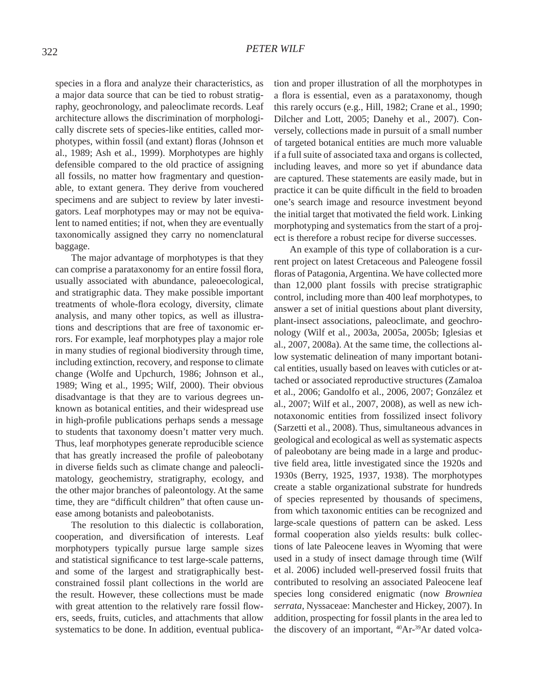species in a flora and analyze their characteristics, as a major data source that can be tied to robust stratigraphy, geochronology, and paleoclimate records. Leaf architecture allows the discrimination of morphologically discrete sets of species-like entities, called morphotypes, within fossil (and extant) floras (Johnson et al., 1989; Ash et al., 1999). Morphotypes are highly defensible compared to the old practice of assigning all fossils, no matter how fragmentary and questionable, to extant genera. They derive from vouchered specimens and are subject to review by later investigators. Leaf morphotypes may or may not be equivalent to named entities; if not, when they are eventually taxonomically assigned they carry no nomenclatural baggage.

 The major advantage of morphotypes is that they can comprise a parataxonomy for an entire fossil flora, usually associated with abundance, paleoecological, and stratigraphic data. They make possible important treatments of whole-flora ecology, diversity, climate analysis, and many other topics, as well as illustrations and descriptions that are free of taxonomic errors. For example, leaf morphotypes play a major role in many studies of regional biodiversity through time, including extinction, recovery, and response to climate change (Wolfe and Upchurch, 1986; Johnson et al., 1989; Wing et al., 1995; Wilf, 2000). Their obvious disadvantage is that they are to various degrees unknown as botanical entities, and their widespread use in high-profile publications perhaps sends a message to students that taxonomy doesn't matter very much. Thus, leaf morphotypes generate reproducible science that has greatly increased the profile of paleobotany in diverse fields such as climate change and paleoclimatology, geochemistry, stratigraphy, ecology, and the other major branches of paleontology. At the same time, they are "difficult children" that often cause unease among botanists and paleobotanists.

 The resolution to this dialectic is collaboration, cooperation, and diversification of interests. Leaf morphotypers typically pursue large sample sizes and statistical significance to test large-scale patterns, and some of the largest and stratigraphically bestconstrained fossil plant collections in the world are the result. However, these collections must be made with great attention to the relatively rare fossil flowers, seeds, fruits, cuticles, and attachments that allow systematics to be done. In addition, eventual publication and proper illustration of all the morphotypes in a flora is essential, even as a parataxonomy, though this rarely occurs (e.g., Hill, 1982; Crane et al., 1990; Dilcher and Lott, 2005; Danehy et al., 2007). Conversely, collections made in pursuit of a small number of targeted botanical entities are much more valuable if a full suite of associated taxa and organs is collected, including leaves, and more so yet if abundance data are captured. These statements are easily made, but in practice it can be quite difficult in the field to broaden one's search image and resource investment beyond the initial target that motivated the field work. Linking morphotyping and systematics from the start of a project is therefore a robust recipe for diverse successes.

 An example of this type of collaboration is a current project on latest Cretaceous and Paleogene fossil floras of Patagonia, Argentina. We have collected more than 12,000 plant fossils with precise stratigraphic control, including more than 400 leaf morphotypes, to answer a set of initial questions about plant diversity, plant-insect associations, paleoclimate, and geochronology (Wilf et al., 2003a, 2005a, 2005b; Iglesias et al., 2007, 2008a). At the same time, the collections allow systematic delineation of many important botanical entities, usually based on leaves with cuticles or attached or associated reproductive structures (Zamaloa et al., 2006; Gandolfo et al., 2006, 2007; González et al., 2007; Wilf et al., 2007, 2008), as well as new ichnotaxonomic entities from fossilized insect folivory (Sarzetti et al., 2008). Thus, simultaneous advances in geological and ecological as well as systematic aspects of paleobotany are being made in a large and productive field area, little investigated since the 1920s and 1930s (Berry, 1925, 1937, 1938). The morphotypes create a stable organizational substrate for hundreds of species represented by thousands of specimens, from which taxonomic entities can be recognized and large-scale questions of pattern can be asked. Less formal cooperation also yields results: bulk collections of late Paleocene leaves in Wyoming that were used in a study of insect damage through time (Wilf et al. 2006) included well-preserved fossil fruits that contributed to resolving an associated Paleocene leaf species long considered enigmatic (now *Browniea serrata*, Nyssaceae: Manchester and Hickey, 2007). In addition, prospecting for fossil plants in the area led to the discovery of an important, <sup>40</sup>Ar-<sup>39</sup>Ar dated volca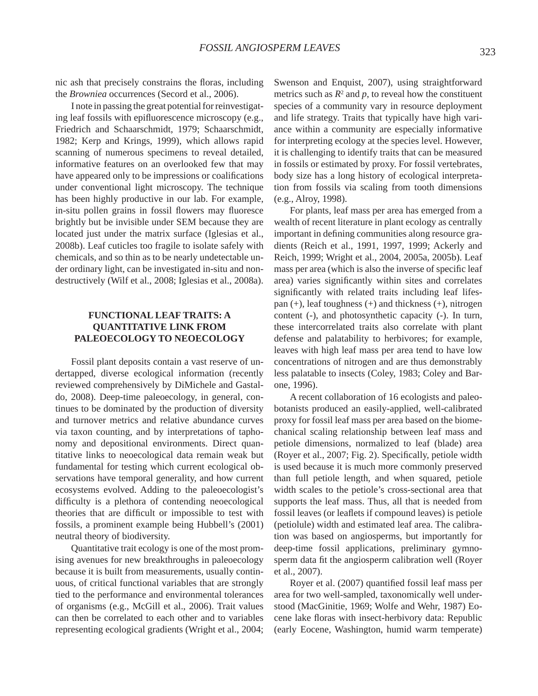nic ash that precisely constrains the floras, including the *Browniea* occurrences (Secord et al., 2006).

 I note in passing the great potential for reinvestigating leaf fossils with epifluorescence microscopy (e.g., Friedrich and Schaarschmidt, 1979; Schaarschmidt, 1982; Kerp and Krings, 1999), which allows rapid scanning of numerous specimens to reveal detailed, informative features on an overlooked few that may have appeared only to be impressions or coalifications under conventional light microscopy. The technique has been highly productive in our lab. For example, in-situ pollen grains in fossil flowers may fluoresce brightly but be invisible under SEM because they are located just under the matrix surface (Iglesias et al., 2008b). Leaf cuticles too fragile to isolate safely with chemicals, and so thin as to be nearly undetectable under ordinary light, can be investigated in-situ and nondestructively (Wilf et al., 2008; Iglesias et al., 2008a).

# **FUNCTIONAL LEAF TRAITS: A QUANTITATIVE LINK FROM PALEOECOLOGY TO NEOECOLOGY**

 Fossil plant deposits contain a vast reserve of undertapped, diverse ecological information (recently reviewed comprehensively by DiMichele and Gastaldo, 2008). Deep-time paleoecology, in general, continues to be dominated by the production of diversity and turnover metrics and relative abundance curves via taxon counting, and by interpretations of taphonomy and depositional environments. Direct quantitative links to neoecological data remain weak but fundamental for testing which current ecological observations have temporal generality, and how current ecosystems evolved. Adding to the paleoecologist's difficulty is a plethora of contending neoecological theories that are difficult or impossible to test with fossils, a prominent example being Hubbell's (2001) neutral theory of biodiversity.

 Quantitative trait ecology is one of the most promising avenues for new breakthroughs in paleoecology because it is built from measurements, usually continuous, of critical functional variables that are strongly tied to the performance and environmental tolerances of organisms (e.g., McGill et al., 2006). Trait values can then be correlated to each other and to variables representing ecological gradients (Wright et al., 2004; Swenson and Enquist, 2007), using straightforward metrics such as  $R^2$  and  $p$ , to reveal how the constituent species of a community vary in resource deployment and life strategy. Traits that typically have high variance within a community are especially informative for interpreting ecology at the species level. However, it is challenging to identify traits that can be measured in fossils or estimated by proxy. For fossil vertebrates, body size has a long history of ecological interpretation from fossils via scaling from tooth dimensions (e.g., Alroy, 1998).

 For plants, leaf mass per area has emerged from a wealth of recent literature in plant ecology as centrally important in defining communities along resource gradients (Reich et al., 1991, 1997, 1999; Ackerly and Reich, 1999; Wright et al., 2004, 2005a, 2005b). Leaf mass per area (which is also the inverse of specific leaf area) varies significantly within sites and correlates significantly with related traits including leaf lifespan (+), leaf toughness (+) and thickness (+), nitrogen content (-), and photosynthetic capacity (-). In turn, these intercorrelated traits also correlate with plant defense and palatability to herbivores; for example, leaves with high leaf mass per area tend to have low concentrations of nitrogen and are thus demonstrably less palatable to insects (Coley, 1983; Coley and Barone, 1996).

 A recent collaboration of 16 ecologists and paleobotanists produced an easily-applied, well-calibrated proxy for fossil leaf mass per area based on the biomechanical scaling relationship between leaf mass and petiole dimensions, normalized to leaf (blade) area (Royer et al., 2007; Fig. 2). Specifically, petiole width is used because it is much more commonly preserved than full petiole length, and when squared, petiole width scales to the petiole's cross-sectional area that supports the leaf mass. Thus, all that is needed from fossil leaves (or leaflets if compound leaves) is petiole (petiolule) width and estimated leaf area. The calibration was based on angiosperms, but importantly for deep-time fossil applications, preliminary gymnosperm data fit the angiosperm calibration well (Royer et al., 2007).

Royer et al. (2007) quantified fossil leaf mass per area for two well-sampled, taxonomically well understood (MacGinitie, 1969; Wolfe and Wehr, 1987) Eocene lake floras with insect-herbivory data: Republic (early Eocene, Washington, humid warm temperate)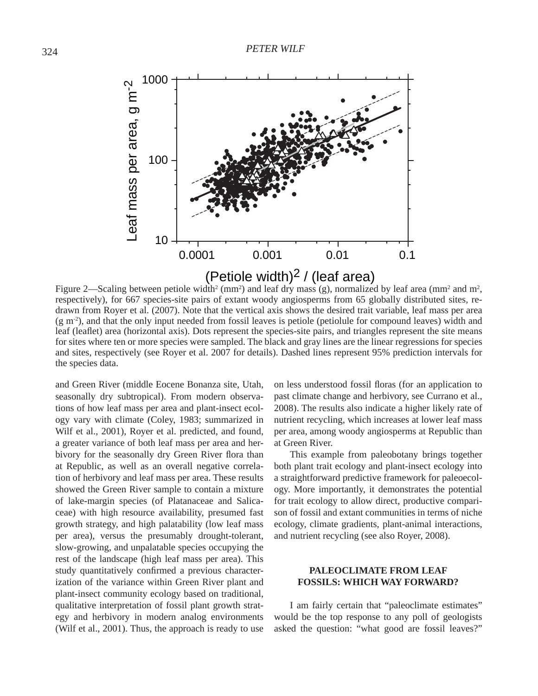

Figure 2—Scaling between petiole width<sup>2</sup> (mm<sup>2</sup>) and leaf dry mass (g), normalized by leaf area (mm<sup>2</sup> and m<sup>2</sup>, respectively), for 667 species-site pairs of extant woody angiosperms from 65 globally distributed sites, redrawn from Royer et al. (2007). Note that the vertical axis shows the desired trait variable, leaf mass per area  $(g m<sup>2</sup>)$ , and that the only input needed from fossil leaves is petiole (petiolule for compound leaves) width and leaf (leaflet) area (horizontal axis). Dots represent the species-site pairs, and triangles represent the site means for sites where ten or more species were sampled. The black and gray lines are the linear regressions for species and sites, respectively (see Royer et al. 2007 for details). Dashed lines represent 95% prediction intervals for the species data.

and Green River (middle Eocene Bonanza site, Utah, seasonally dry subtropical). From modern observations of how leaf mass per area and plant-insect ecology vary with climate (Coley, 1983; summarized in Wilf et al., 2001), Royer et al. predicted, and found, a greater variance of both leaf mass per area and herbivory for the seasonally dry Green River flora than at Republic, as well as an overall negative correlation of herbivory and leaf mass per area. These results showed the Green River sample to contain a mixture of lake-margin species (of Platanaceae and Salicaceae) with high resource availability, presumed fast growth strategy, and high palatability (low leaf mass per area), versus the presumably drought-tolerant, slow-growing, and unpalatable species occupying the rest of the landscape (high leaf mass per area). This study quantitatively confirmed a previous characterization of the variance within Green River plant and plant-insect community ecology based on traditional, qualitative interpretation of fossil plant growth strategy and herbivory in modern analog environments (Wilf et al., 2001). Thus, the approach is ready to use

on less understood fossil floras (for an application to past climate change and herbivory, see Currano et al., 2008). The results also indicate a higher likely rate of nutrient recycling, which increases at lower leaf mass per area, among woody angiosperms at Republic than at Green River.

 This example from paleobotany brings together both plant trait ecology and plant-insect ecology into a straightforward predictive framework for paleoecology. More importantly, it demonstrates the potential for trait ecology to allow direct, productive comparison of fossil and extant communities in terms of niche ecology, climate gradients, plant-animal interactions, and nutrient recycling (see also Royer, 2008).

### **PALEOCLIMATE FROM LEAF FOSSILS: WHICH WAY FORWARD?**

 I am fairly certain that "paleoclimate estimates" would be the top response to any poll of geologists asked the question: "what good are fossil leaves?"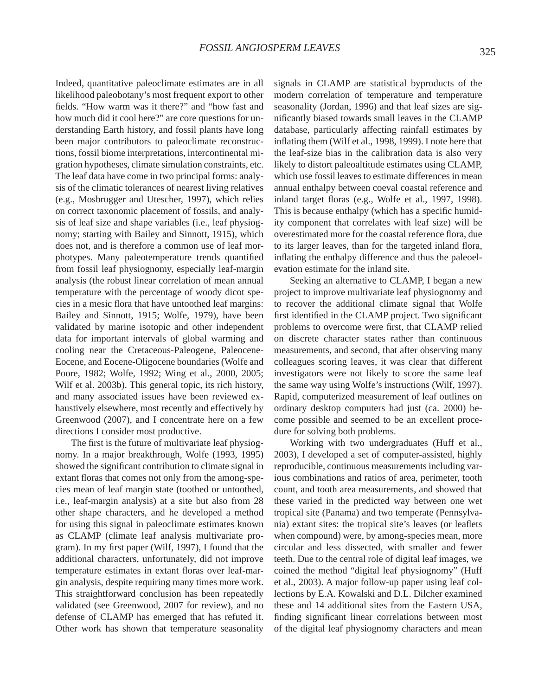Indeed, quantitative paleoclimate estimates are in all likelihood paleobotany's most frequent export to other fields. "How warm was it there?" and "how fast and how much did it cool here?" are core questions for understanding Earth history, and fossil plants have long been major contributors to paleoclimate reconstructions, fossil biome interpretations, intercontinental migration hypotheses, climate simulation constraints, etc. The leaf data have come in two principal forms: analysis of the climatic tolerances of nearest living relatives (e.g., Mosbrugger and Utescher, 1997), which relies on correct taxonomic placement of fossils, and analysis of leaf size and shape variables (i.e., leaf physiognomy; starting with Bailey and Sinnott, 1915), which does not, and is therefore a common use of leaf morphotypes. Many paleotemperature trends quantified from fossil leaf physiognomy, especially leaf-margin analysis (the robust linear correlation of mean annual temperature with the percentage of woody dicot species in a mesic flora that have untoothed leaf margins: Bailey and Sinnott, 1915; Wolfe, 1979), have been validated by marine isotopic and other independent data for important intervals of global warming and cooling near the Cretaceous-Paleogene, Paleocene-Eocene, and Eocene-Oligocene boundaries (Wolfe and Poore, 1982; Wolfe, 1992; Wing et al., 2000, 2005; Wilf et al. 2003b). This general topic, its rich history, and many associated issues have been reviewed exhaustively elsewhere, most recently and effectively by Greenwood (2007), and I concentrate here on a few directions I consider most productive.

The first is the future of multivariate leaf physiognomy. In a major breakthrough, Wolfe (1993, 1995) showed the significant contribution to climate signal in extant floras that comes not only from the among-species mean of leaf margin state (toothed or untoothed, i.e., leaf-margin analysis) at a site but also from 28 other shape characters, and he developed a method for using this signal in paleoclimate estimates known as CLAMP (climate leaf analysis multivariate program). In my first paper (Wilf, 1997), I found that the additional characters, unfortunately, did not improve temperature estimates in extant floras over leaf-margin analysis, despite requiring many times more work. This straightforward conclusion has been repeatedly validated (see Greenwood, 2007 for review), and no defense of CLAMP has emerged that has refuted it. Other work has shown that temperature seasonality

signals in CLAMP are statistical byproducts of the modern correlation of temperature and temperature seasonality (Jordan, 1996) and that leaf sizes are significantly biased towards small leaves in the CLAMP database, particularly affecting rainfall estimates by inflating them (Wilf et al., 1998, 1999). I note here that the leaf-size bias in the calibration data is also very likely to distort paleoaltitude estimates using CLAMP, which use fossil leaves to estimate differences in mean annual enthalpy between coeval coastal reference and inland target floras (e.g., Wolfe et al., 1997, 1998). This is because enthalpy (which has a specific humidity component that correlates with leaf size) will be overestimated more for the coastal reference flora, due to its larger leaves, than for the targeted inland flora, inflating the enthalpy difference and thus the paleoelevation estimate for the inland site.

 Seeking an alternative to CLAMP, I began a new project to improve multivariate leaf physiognomy and to recover the additional climate signal that Wolfe first identified in the CLAMP project. Two significant problems to overcome were first, that CLAMP relied on discrete character states rather than continuous measurements, and second, that after observing many colleagues scoring leaves, it was clear that different investigators were not likely to score the same leaf the same way using Wolfe's instructions (Wilf, 1997). Rapid, computerized measurement of leaf outlines on ordinary desktop computers had just (ca. 2000) become possible and seemed to be an excellent procedure for solving both problems.

 Working with two undergraduates (Huff et al., 2003), I developed a set of computer-assisted, highly reproducible, continuous measurements including various combinations and ratios of area, perimeter, tooth count, and tooth area measurements, and showed that these varied in the predicted way between one wet tropical site (Panama) and two temperate (Pennsylvania) extant sites: the tropical site's leaves (or leaflets when compound) were, by among-species mean, more circular and less dissected, with smaller and fewer teeth. Due to the central role of digital leaf images, we coined the method "digital leaf physiognomy" (Huff et al., 2003). A major follow-up paper using leaf collections by E.A. Kowalski and D.L. Dilcher examined these and 14 additional sites from the Eastern USA, finding significant linear correlations between most of the digital leaf physiognomy characters and mean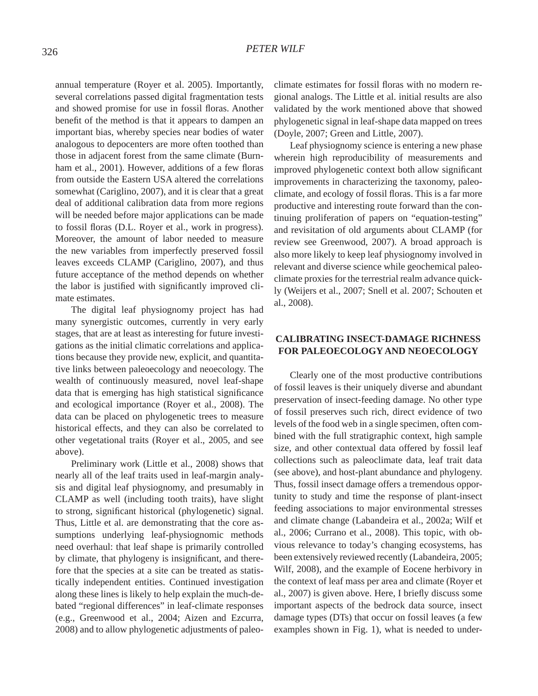annual temperature (Royer et al. 2005). Importantly, several correlations passed digital fragmentation tests and showed promise for use in fossil floras. Another benefit of the method is that it appears to dampen an important bias, whereby species near bodies of water analogous to depocenters are more often toothed than those in adjacent forest from the same climate (Burnham et al., 2001). However, additions of a few floras from outside the Eastern USA altered the correlations somewhat (Cariglino, 2007), and it is clear that a great deal of additional calibration data from more regions will be needed before major applications can be made to fossil floras (D.L. Royer et al., work in progress). Moreover, the amount of labor needed to measure the new variables from imperfectly preserved fossil leaves exceeds CLAMP (Cariglino, 2007), and thus future acceptance of the method depends on whether the labor is justified with significantly improved climate estimates.

 The digital leaf physiognomy project has had many synergistic outcomes, currently in very early stages, that are at least as interesting for future investigations as the initial climatic correlations and applications because they provide new, explicit, and quantitative links between paleoecology and neoecology. The wealth of continuously measured, novel leaf-shape data that is emerging has high statistical significance and ecological importance (Royer et al., 2008). The data can be placed on phylogenetic trees to measure historical effects, and they can also be correlated to other vegetational traits (Royer et al., 2005, and see above).

 Preliminary work (Little et al., 2008) shows that nearly all of the leaf traits used in leaf-margin analysis and digital leaf physiognomy, and presumably in CLAMP as well (including tooth traits), have slight to strong, significant historical (phylogenetic) signal. Thus, Little et al. are demonstrating that the core assumptions underlying leaf-physiognomic methods need overhaul: that leaf shape is primarily controlled by climate, that phylogeny is insignificant, and therefore that the species at a site can be treated as statistically independent entities. Continued investigation along these lines is likely to help explain the much-debated "regional differences" in leaf-climate responses (e.g., Greenwood et al., 2004; Aizen and Ezcurra, 2008) and to allow phylogenetic adjustments of paleoclimate estimates for fossil floras with no modern regional analogs. The Little et al. initial results are also validated by the work mentioned above that showed phylogenetic signal in leaf-shape data mapped on trees (Doyle, 2007; Green and Little, 2007).

 Leaf physiognomy science is entering a new phase wherein high reproducibility of measurements and improved phylogenetic context both allow significant improvements in characterizing the taxonomy, paleoclimate, and ecology of fossil floras. This is a far more productive and interesting route forward than the continuing proliferation of papers on "equation-testing" and revisitation of old arguments about CLAMP (for review see Greenwood, 2007). A broad approach is also more likely to keep leaf physiognomy involved in relevant and diverse science while geochemical paleoclimate proxies for the terrestrial realm advance quickly (Weijers et al., 2007; Snell et al. 2007; Schouten et al., 2008).

# **CALIBRATING INSECT-DAMAGE RICHNESS FOR PALEOECOLOGY AND NEOECOLOGY**

 Clearly one of the most productive contributions of fossil leaves is their uniquely diverse and abundant preservation of insect-feeding damage. No other type of fossil preserves such rich, direct evidence of two levels of the food web in a single specimen, often combined with the full stratigraphic context, high sample size, and other contextual data offered by fossil leaf collections such as paleoclimate data, leaf trait data (see above), and host-plant abundance and phylogeny. Thus, fossil insect damage offers a tremendous opportunity to study and time the response of plant-insect feeding associations to major environmental stresses and climate change (Labandeira et al., 2002a; Wilf et al., 2006; Currano et al., 2008). This topic, with obvious relevance to today's changing ecosystems, has been extensively reviewed recently (Labandeira, 2005; Wilf, 2008), and the example of Eocene herbivory in the context of leaf mass per area and climate (Royer et al., 2007) is given above. Here, I briefly discuss some important aspects of the bedrock data source, insect damage types (DTs) that occur on fossil leaves (a few examples shown in Fig. 1), what is needed to under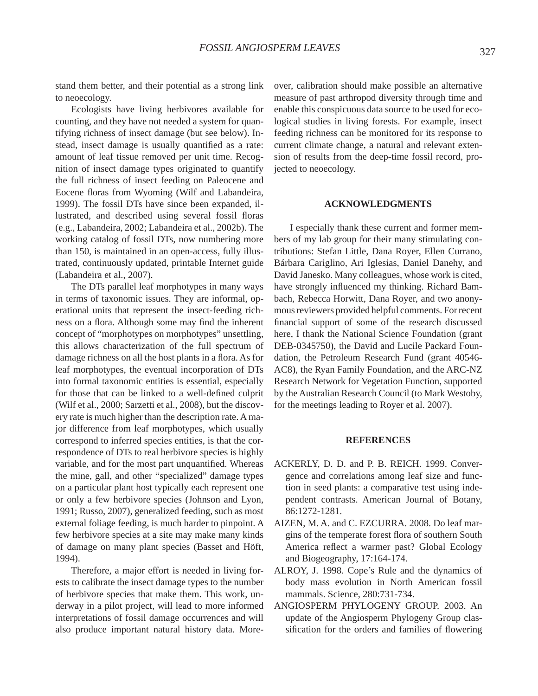stand them better, and their potential as a strong link to neoecology.

 Ecologists have living herbivores available for counting, and they have not needed a system for quantifying richness of insect damage (but see below). Instead, insect damage is usually quantified as a rate: amount of leaf tissue removed per unit time. Recognition of insect damage types originated to quantify the full richness of insect feeding on Paleocene and Eocene floras from Wyoming (Wilf and Labandeira, 1999). The fossil DTs have since been expanded, illustrated, and described using several fossil floras (e.g., Labandeira, 2002; Labandeira et al., 2002b). The working catalog of fossil DTs, now numbering more than 150, is maintained in an open-access, fully illustrated, continuously updated, printable Internet guide (Labandeira et al., 2007).

 The DTs parallel leaf morphotypes in many ways in terms of taxonomic issues. They are informal, operational units that represent the insect-feeding richness on a flora. Although some may find the inherent concept of "morphotypes on morphotypes" unsettling, this allows characterization of the full spectrum of damage richness on all the host plants in a flora. As for leaf morphotypes, the eventual incorporation of DTs into formal taxonomic entities is essential, especially for those that can be linked to a well-defined culprit (Wilf et al., 2000; Sarzetti et al., 2008), but the discovery rate is much higher than the description rate. A major difference from leaf morphotypes, which usually correspond to inferred species entities, is that the correspondence of DTs to real herbivore species is highly variable, and for the most part unquantified. Whereas the mine, gall, and other "specialized" damage types on a particular plant host typically each represent one or only a few herbivore species (Johnson and Lyon, 1991; Russo, 2007), generalized feeding, such as most external foliage feeding, is much harder to pinpoint. A few herbivore species at a site may make many kinds of damage on many plant species (Basset and Höft, 1994).

 Therefore, a major effort is needed in living forests to calibrate the insect damage types to the number of herbivore species that make them. This work, underway in a pilot project, will lead to more informed interpretations of fossil damage occurrences and will also produce important natural history data. Moreover, calibration should make possible an alternative measure of past arthropod diversity through time and enable this conspicuous data source to be used for ecological studies in living forests. For example, insect feeding richness can be monitored for its response to current climate change, a natural and relevant extension of results from the deep-time fossil record, projected to neoecology.

#### **ACKNOWLEDGMENTS**

 I especially thank these current and former members of my lab group for their many stimulating contributions: Stefan Little, Dana Royer, Ellen Currano, Bárbara Cariglino, Ari Iglesias, Daniel Danehy, and David Janesko. Many colleagues, whose work is cited, have strongly influenced my thinking. Richard Bambach, Rebecca Horwitt, Dana Royer, and two anonymous reviewers provided helpful comments. For recent financial support of some of the research discussed here, I thank the National Science Foundation (grant DEB-0345750), the David and Lucile Packard Foundation, the Petroleum Research Fund (grant 40546- AC8), the Ryan Family Foundation, and the ARC-NZ Research Network for Vegetation Function, supported by the Australian Research Council (to Mark Westoby, for the meetings leading to Royer et al. 2007).

#### **REFERENCES**

- ACKERLY, D. D. and P. B. REICH. 1999. Convergence and correlations among leaf size and function in seed plants: a comparative test using independent contrasts. American Journal of Botany, 86:1272-1281.
- AIZEN, M. A. and C. EZCURRA. 2008. Do leaf margins of the temperate forest flora of southern South America reflect a warmer past? Global Ecology and Biogeography, 17:164-174.
- ALROY, J. 1998. Cope's Rule and the dynamics of body mass evolution in North American fossil mammals. Science, 280:731-734.
- ANGIOSPERM PHYLOGENY GROUP. 2003. An update of the Angiosperm Phylogeny Group classification for the orders and families of flowering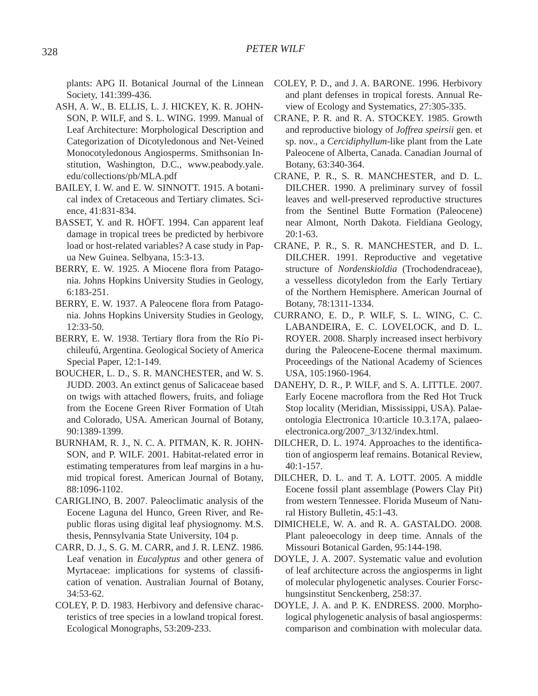plants: APG II. Botanical Journal of the Linnean Society, 141:399-436.

- ASH, A. W., B. ELLIS, L. J. HICKEY, K. R. JOHN-SON, P. WILF, and S. L. WING. 1999. Manual of Leaf Architecture: Morphological Description and Categorization of Dicotyledonous and Net-Veined Monocotyledonous Angiosperms. Smithsonian Institution, Washington, D.C., www.peabody.yale. edu/collections/pb/MLA.pdf
- BAILEY, I. W. and E. W. SINNOTT. 1915. A botanical index of Cretaceous and Tertiary climates. Science, 41:831-834.
- BASSET, Y. and R. HÖFT. 1994. Can apparent leaf damage in tropical trees be predicted by herbivore load or host-related variables? A case study in Papua New Guinea. Selbyana, 15:3-13.
- BERRY, E. W. 1925. A Miocene flora from Patagonia. Johns Hopkins University Studies in Geology, 6:183-251.
- BERRY, E. W. 1937. A Paleocene flora from Patagonia. Johns Hopkins University Studies in Geology, 12:33-50.
- BERRY, E. W. 1938. Tertiary flora from the Río Pichileufú, Argentina. Geological Society of America Special Paper, 12:1-149.
- BOUCHER, L. D., S. R. MANCHESTER, and W. S. JUDD. 2003. An extinct genus of Salicaceae based on twigs with attached flowers, fruits, and foliage from the Eocene Green River Formation of Utah and Colorado, USA. American Journal of Botany, 90:1389-1399.
- BURNHAM, R. J., N. C. A. PITMAN, K. R. JOHN-SON, and P. WILF. 2001. Habitat-related error in estimating temperatures from leaf margins in a humid tropical forest. American Journal of Botany, 88:1096-1102.
- CARIGLINO, B. 2007. Paleoclimatic analysis of the Eocene Laguna del Hunco, Green River, and Republic floras using digital leaf physiognomy. M.S. thesis, Pennsylvania State University, 104 p.
- CARR, D. J., S. G. M. CARR, and J. R. LENZ. 1986. Leaf venation in *Eucalyptus* and other genera of Myrtaceae: implications for systems of classification of venation. Australian Journal of Botany, 34:53-62.
- COLEY, P. D. 1983. Herbivory and defensive characteristics of tree species in a lowland tropical forest. Ecological Monographs, 53:209-233.
- COLEY, P. D., and J. A. BARONE. 1996. Herbivory and plant defenses in tropical forests. Annual Review of Ecology and Systematics, 27:305-335.
- CRANE, P. R. and R. A. STOCKEY. 1985. Growth and reproductive biology of *Joffrea speirsii* gen. et sp. nov., a *Cercidiphyllum*-like plant from the Late Paleocene of Alberta, Canada. Canadian Journal of Botany, 63:340-364.
- CRANE, P. R., S. R. MANCHESTER, and D. L. DILCHER. 1990. A preliminary survey of fossil leaves and well-preserved reproductive structures from the Sentinel Butte Formation (Paleocene) near Almont, North Dakota. Fieldiana Geology, 20:1-63.
- CRANE, P. R., S. R. MANCHESTER, and D. L. DILCHER. 1991. Reproductive and vegetative structure of *Nordenskioldia* (Trochodendraceae), a vesselless dicotyledon from the Early Tertiary of the Northern Hemisphere. American Journal of Botany, 78:1311-1334.
- CURRANO, E. D., P. WILF, S. L. WING, C. C. LABANDEIRA, E. C. LOVELOCK, and D. L. ROYER. 2008. Sharply increased insect herbivory during the Paleocene-Eocene thermal maximum. Proceedings of the National Academy of Sciences USA, 105:1960-1964.
- DANEHY, D. R., P. WILF, and S. A. LITTLE. 2007. Early Eocene macroflora from the Red Hot Truck Stop locality (Meridian, Mississippi, USA). Palaeontologia Electronica 10:article 10.3.17A, palaeoelectronica.org/2007\_3/132/index.html.
- DILCHER, D. L. 1974. Approaches to the identification of angiosperm leaf remains. Botanical Review, 40:1-157.
- DILCHER, D. L. and T. A. LOTT. 2005. A middle Eocene fossil plant assemblage (Powers Clay Pit) from western Tennessee. Florida Museum of Natural History Bulletin, 45:1-43.
- DIMICHELE, W. A. and R. A. GASTALDO. 2008. Plant paleoecology in deep time. Annals of the Missouri Botanical Garden, 95:144-198.
- DOYLE, J. A. 2007. Systematic value and evolution of leaf architecture across the angiosperms in light of molecular phylogenetic analyses. Courier Forschungsinstitut Senckenberg, 258:37.
- DOYLE, J. A. and P. K. ENDRESS. 2000. Morphological phylogenetic analysis of basal angiosperms: comparison and combination with molecular data.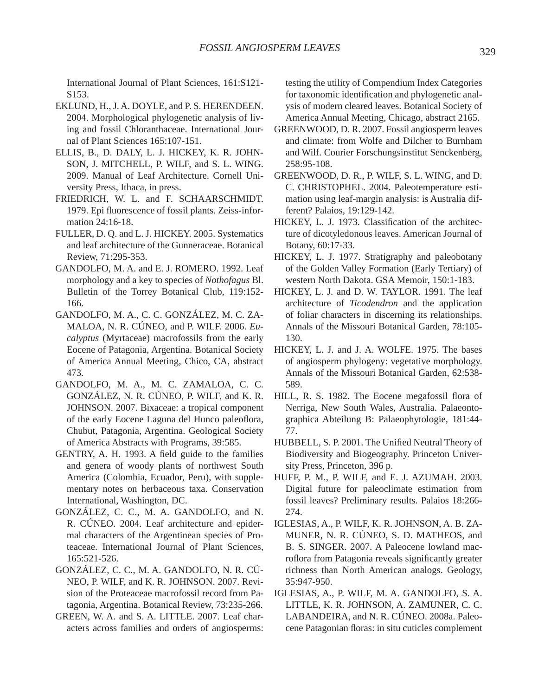International Journal of Plant Sciences, 161:S121- S153.

- EKLUND, H., J. A. DOYLE, and P. S. HERENDEEN. 2004. Morphological phylogenetic analysis of living and fossil Chloranthaceae. International Journal of Plant Sciences 165:107-151.
- ELLIS, B., D. DALY, L. J. HICKEY, K. R. JOHN-SON, J. MITCHELL, P. WILF, and S. L. WING. 2009. Manual of Leaf Architecture. Cornell University Press, Ithaca, in press.
- FRIEDRICH, W. L. and F. SCHAARSCHMIDT. 1979. Epi fluorescence of fossil plants. Zeiss-information 24:16-18.
- FULLER, D. Q. and L. J. HICKEY. 2005. Systematics and leaf architecture of the Gunneraceae. Botanical Review, 71:295-353.
- GANDOLFO, M. A. and E. J. ROMERO. 1992. Leaf morphology and a key to species of *Nothofagus* Bl. Bulletin of the Torrey Botanical Club, 119:152- 166.
- GANDOLFO, M. A., C. C. GONZÁLEZ, M. C. ZA-MALOA, N. R. CÚNEO, and P. WILF. 2006. *Eucalyptus* (Myrtaceae) macrofossils from the early Eocene of Patagonia, Argentina. Botanical Society of America Annual Meeting, Chico, CA, abstract 473.
- GANDOLFO, M. A., M. C. ZAMALOA, C. C. GONZÁLEZ, N. R. CÚNEO, P. WILF, and K. R. JOHNSON. 2007. Bixaceae: a tropical component of the early Eocene Laguna del Hunco paleoflora, Chubut, Patagonia, Argentina. Geological Society of America Abstracts with Programs, 39:585.
- GENTRY, A. H. 1993. A field guide to the families and genera of woody plants of northwest South America (Colombia, Ecuador, Peru), with supplementary notes on herbaceous taxa. Conservation International, Washington, DC.
- GONZÁLEZ, C. C., M. A. GANDOLFO, and N. R. CÚNEO. 2004. Leaf architecture and epidermal characters of the Argentinean species of Proteaceae. International Journal of Plant Sciences, 165:521-526.
- GONZÁLEZ, C. C., M. A. GANDOLFO, N. R. CÚ-NEO, P. WILF, and K. R. JOHNSON. 2007. Revision of the Proteaceae macrofossil record from Patagonia, Argentina. Botanical Review, 73:235-266.
- GREEN, W. A. and S. A. LITTLE. 2007. Leaf characters across families and orders of angiosperms:

testing the utility of Compendium Index Categories for taxonomic identification and phylogenetic analysis of modern cleared leaves. Botanical Society of America Annual Meeting, Chicago, abstract 2165.

- GREENWOOD, D. R. 2007. Fossil angiosperm leaves and climate: from Wolfe and Dilcher to Burnham and Wilf. Courier Forschungsinstitut Senckenberg, 258:95-108.
- GREENWOOD, D. R., P. WILF, S. L. WING, and D. C. CHRISTOPHEL. 2004. Paleotemperature estimation using leaf-margin analysis: is Australia different? Palaios, 19:129-142.
- HICKEY, L. J. 1973. Classification of the architecture of dicotyledonous leaves. American Journal of Botany, 60:17-33.
- HICKEY, L. J. 1977. Stratigraphy and paleobotany of the Golden Valley Formation (Early Tertiary) of western North Dakota. GSA Memoir, 150:1-183.
- HICKEY, L. J. and D. W. TAYLOR. 1991. The leaf architecture of *Ticodendron* and the application of foliar characters in discerning its relationships. Annals of the Missouri Botanical Garden, 78:105- 130.
- HICKEY, L. J. and J. A. WOLFE. 1975. The bases of angiosperm phylogeny: vegetative morphology. Annals of the Missouri Botanical Garden, 62:538- 589.
- HILL, R. S. 1982. The Eocene megafossil flora of Nerriga, New South Wales, Australia. Palaeontographica Abteilung B: Palaeophytologie, 181:44- 77.
- HUBBELL, S. P. 2001. The Unified Neutral Theory of Biodiversity and Biogeography. Princeton University Press, Princeton, 396 p.
- HUFF, P. M., P. WILF, and E. J. AZUMAH. 2003. Digital future for paleoclimate estimation from fossil leaves? Preliminary results. Palaios 18:266- 274.
- IGLESIAS, A., P. WILF, K. R. JOHNSON, A. B. ZA-MUNER, N. R. CÚNEO, S. D. MATHEOS, and B. S. SINGER. 2007. A Paleocene lowland macroflora from Patagonia reveals significantly greater richness than North American analogs. Geology, 35:947-950.
- IGLESIAS, A., P. WILF, M. A. GANDOLFO, S. A. LITTLE, K. R. JOHNSON, A. ZAMUNER, C. C. LABANDEIRA, and N. R. CÚNEO. 2008a. Paleocene Patagonian floras: in situ cuticles complement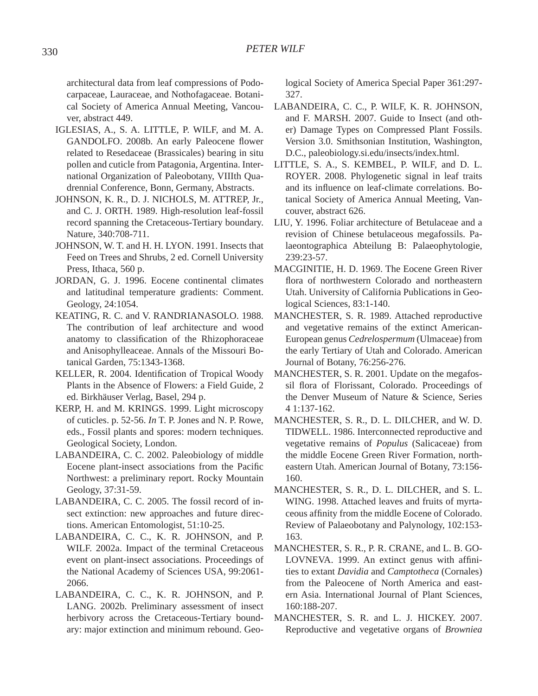architectural data from leaf compressions of Podocarpaceae, Lauraceae, and Nothofagaceae. Botanical Society of America Annual Meeting, Vancouver, abstract 449.

- IGLESIAS, A., S. A. LITTLE, P. WILF, and M. A. GANDOLFO. 2008b. An early Paleocene flower related to Resedaceae (Brassicales) bearing in situ pollen and cuticle from Patagonia, Argentina. International Organization of Paleobotany, VIIIth Quadrennial Conference, Bonn, Germany, Abstracts.
- JOHNSON, K. R., D. J. NICHOLS, M. ATTREP, Jr., and C. J. ORTH. 1989. High-resolution leaf-fossil record spanning the Cretaceous-Tertiary boundary. Nature, 340:708-711.
- JOHNSON, W. T. and H. H. LYON. 1991. Insects that Feed on Trees and Shrubs, 2 ed. Cornell University Press, Ithaca, 560 p.
- JORDAN, G. J. 1996. Eocene continental climates and latitudinal temperature gradients: Comment. Geology, 24:1054.
- KEATING, R. C. and V. RANDRIANASOLO. 1988. The contribution of leaf architecture and wood anatomy to classification of the Rhizophoraceae and Anisophylleaceae. Annals of the Missouri Botanical Garden, 75:1343-1368.
- KELLER, R. 2004. Identification of Tropical Woody Plants in the Absence of Flowers: a Field Guide, 2 ed. Birkhäuser Verlag, Basel, 294 p.
- KERP, H. and M. KRINGS. 1999. Light microscopy of cuticles. p. 52-56. *In* T. P. Jones and N. P. Rowe, eds., Fossil plants and spores: modern techniques. Geological Society, London.
- LABANDEIRA, C. C. 2002. Paleobiology of middle Eocene plant-insect associations from the Pacific Northwest: a preliminary report. Rocky Mountain Geology, 37:31-59.
- LABANDEIRA, C. C. 2005. The fossil record of insect extinction: new approaches and future directions. American Entomologist, 51:10-25.
- LABANDEIRA, C. C., K. R. JOHNSON, and P. WILF. 2002a. Impact of the terminal Cretaceous event on plant-insect associations. Proceedings of the National Academy of Sciences USA, 99:2061- 2066.
- LABANDEIRA, C. C., K. R. JOHNSON, and P. LANG. 2002b. Preliminary assessment of insect herbivory across the Cretaceous-Tertiary boundary: major extinction and minimum rebound. Geo-

logical Society of America Special Paper 361:297- 327.

- LABANDEIRA, C. C., P. WILF, K. R. JOHNSON, and F. MARSH. 2007. Guide to Insect (and other) Damage Types on Compressed Plant Fossils. Version 3.0. Smithsonian Institution, Washington, D.C., paleobiology.si.edu/insects/index.html.
- LITTLE, S. A., S. KEMBEL, P. WILF, and D. L. ROYER. 2008. Phylogenetic signal in leaf traits and its influence on leaf-climate correlations. Botanical Society of America Annual Meeting, Vancouver, abstract 626.
- LIU, Y. 1996. Foliar architecture of Betulaceae and a revision of Chinese betulaceous megafossils. Palaeontographica Abteilung B: Palaeophytologie, 239:23-57.
- MACGINITIE, H. D. 1969. The Eocene Green River flora of northwestern Colorado and northeastern Utah. University of California Publications in Geological Sciences, 83:1-140.
- MANCHESTER, S. R. 1989. Attached reproductive and vegetative remains of the extinct American-European genus *Cedrelospermum* (Ulmaceae) from the early Tertiary of Utah and Colorado. American Journal of Botany, 76:256-276.
- MANCHESTER, S. R. 2001. Update on the megafossil flora of Florissant, Colorado. Proceedings of the Denver Museum of Nature & Science, Series 4 1:137-162.
- MANCHESTER, S. R., D. L. DILCHER, and W. D. TIDWELL. 1986. Interconnected reproductive and vegetative remains of *Populus* (Salicaceae) from the middle Eocene Green River Formation, northeastern Utah. American Journal of Botany, 73:156- 160.
- MANCHESTER, S. R., D. L. DILCHER, and S. L. WING. 1998. Attached leaves and fruits of myrtaceous affinity from the middle Eocene of Colorado. Review of Palaeobotany and Palynology, 102:153- 163.
- MANCHESTER, S. R., P. R. CRANE, and L. B. GO-LOVNEVA. 1999. An extinct genus with affinities to extant *Davidia* and *Camptotheca* (Cornales) from the Paleocene of North America and eastern Asia. International Journal of Plant Sciences, 160:188-207.
- MANCHESTER, S. R. and L. J. HICKEY. 2007. Reproductive and vegetative organs of *Browniea*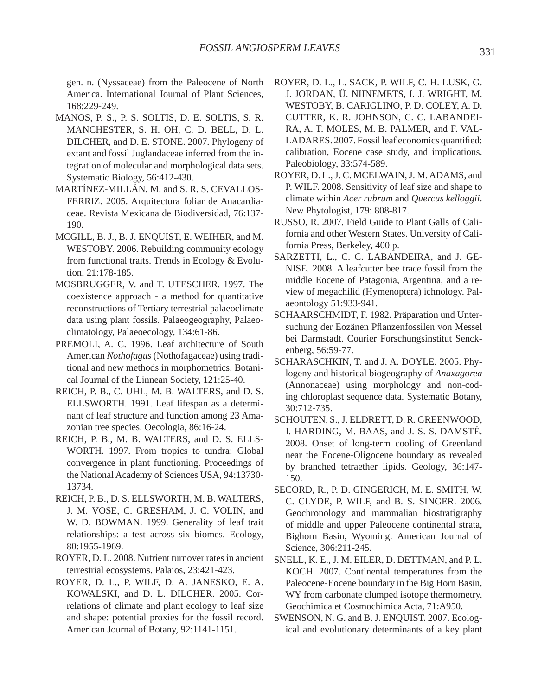gen. n. (Nyssaceae) from the Paleocene of North America. International Journal of Plant Sciences, 168:229-249.

- MANOS, P. S., P. S. SOLTIS, D. E. SOLTIS, S. R. MANCHESTER, S. H. OH, C. D. BELL, D. L. DILCHER, and D. E. STONE. 2007. Phylogeny of extant and fossil Juglandaceae inferred from the integration of molecular and morphological data sets. Systematic Biology, 56:412-430.
- MARTÍNEZ-MILLÁN, M. and S. R. S. CEVALLOS-FERRIZ. 2005. Arquitectura foliar de Anacardiaceae. Revista Mexicana de Biodiversidad, 76:137- 190.
- MCGILL, B. J., B. J. ENQUIST, E. WEIHER, and M. WESTOBY. 2006. Rebuilding community ecology from functional traits. Trends in Ecology & Evolution, 21:178-185.
- MOSBRUGGER, V. and T. UTESCHER. 1997. The coexistence approach - a method for quantitative reconstructions of Tertiary terrestrial palaeoclimate data using plant fossils. Palaeogeography, Palaeoclimatology, Palaeoecology, 134:61-86.
- PREMOLI, A. C. 1996. Leaf architecture of South American *Nothofagus* (Nothofagaceae) using traditional and new methods in morphometrics. Botanical Journal of the Linnean Society, 121:25-40.
- REICH, P. B., C. UHL, M. B. WALTERS, and D. S. ELLSWORTH. 1991. Leaf lifespan as a determinant of leaf structure and function among 23 Amazonian tree species. Oecologia, 86:16-24.
- REICH, P. B., M. B. WALTERS, and D. S. ELLS-WORTH. 1997. From tropics to tundra: Global convergence in plant functioning. Proceedings of the National Academy of Sciences USA, 94:13730- 13734.
- REICH, P. B., D. S. ELLSWORTH, M. B. WALTERS, J. M. VOSE, C. GRESHAM, J. C. VOLIN, and W. D. BOWMAN. 1999. Generality of leaf trait relationships: a test across six biomes. Ecology, 80:1955-1969.
- ROYER, D. L. 2008. Nutrient turnover rates in ancient terrestrial ecosystems. Palaios, 23:421-423.
- ROYER, D. L., P. WILF, D. A. JANESKO, E. A. KOWALSKI, and D. L. DILCHER. 2005. Correlations of climate and plant ecology to leaf size and shape: potential proxies for the fossil record. American Journal of Botany, 92:1141-1151.
- ROYER, D. L., L. SACK, P. WILF, C. H. LUSK, G. J. JORDAN, Ü. NIINEMETS, I. J. WRIGHT, M. WESTOBY, B. CARIGLINO, P. D. COLEY, A. D. CUTTER, K. R. JOHNSON, C. C. LABANDEI-RA, A. T. MOLES, M. B. PALMER, and F. VAL-LADARES. 2007. Fossil leaf economics quantified: calibration, Eocene case study, and implications. Paleobiology, 33:574-589.
- ROYER, D. L., J. C. MCELWAIN, J. M. ADAMS, and P. WILF. 2008. Sensitivity of leaf size and shape to climate within *Acer rubrum* and *Quercus kelloggii*. New Phytologist, 179: 808-817.
- RUSSO, R. 2007. Field Guide to Plant Galls of California and other Western States. University of California Press, Berkeley, 400 p.
- SARZETTI, L., C. C. LABANDEIRA, and J. GE-NISE. 2008. A leafcutter bee trace fossil from the middle Eocene of Patagonia, Argentina, and a review of megachilid (Hymenoptera) ichnology. Palaeontology 51:933-941.
- SCHAARSCHMIDT, F. 1982. Präparation und Untersuchung der Eozänen Pflanzenfossilen von Messel bei Darmstadt. Courier Forschungsinstitut Senckenberg, 56:59-77.
- SCHARASCHKIN, T. and J. A. DOYLE. 2005. Phylogeny and historical biogeography of *Anaxagorea* (Annonaceae) using morphology and non-coding chloroplast sequence data. Systematic Botany, 30:712-735.
- SCHOUTEN, S., J. ELDRETT, D. R. GREENWOOD, I. HARDING, M. BAAS, and J. S. S. DAMSTÉ. 2008. Onset of long-term cooling of Greenland near the Eocene-Oligocene boundary as revealed by branched tetraether lipids. Geology, 36:147- 150.
- SECORD, R., P. D. GINGERICH, M. E. SMITH, W. C. CLYDE, P. WILF, and B. S. SINGER. 2006. Geochronology and mammalian biostratigraphy of middle and upper Paleocene continental strata, Bighorn Basin, Wyoming. American Journal of Science, 306:211-245.
- SNELL, K. E., J. M. EILER, D. DETTMAN, and P. L. KOCH. 2007. Continental temperatures from the Paleocene-Eocene boundary in the Big Horn Basin, WY from carbonate clumped isotope thermometry. Geochimica et Cosmochimica Acta, 71:A950.
- SWENSON, N. G. and B. J. ENQUIST. 2007. Ecological and evolutionary determinants of a key plant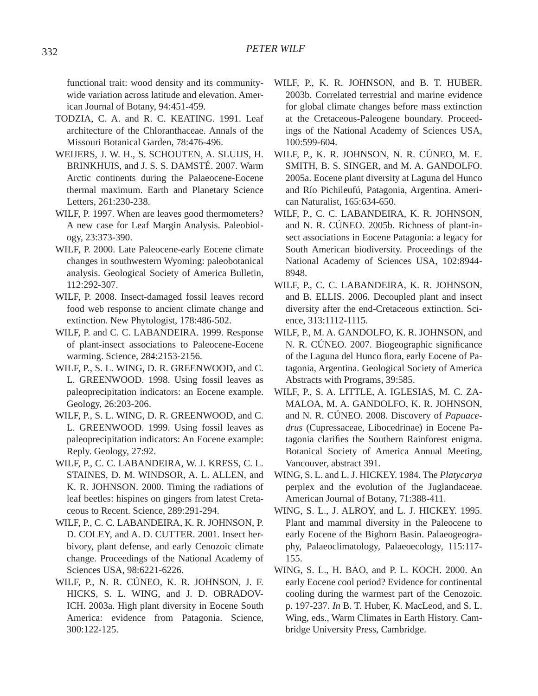functional trait: wood density and its communitywide variation across latitude and elevation. American Journal of Botany, 94:451-459.

- TODZIA, C. A. and R. C. KEATING. 1991. Leaf architecture of the Chloranthaceae. Annals of the Missouri Botanical Garden, 78:476-496.
- WEIJERS, J. W. H., S. SCHOUTEN, A. SLUIJS, H. BRINKHUIS, and J. S. S. DAMSTÉ. 2007. Warm Arctic continents during the Palaeocene-Eocene thermal maximum. Earth and Planetary Science Letters, 261:230-238.
- WILF, P. 1997. When are leaves good thermometers? A new case for Leaf Margin Analysis. Paleobiology, 23:373-390.
- WILF, P. 2000. Late Paleocene-early Eocene climate changes in southwestern Wyoming: paleobotanical analysis. Geological Society of America Bulletin, 112:292-307.
- WILF, P. 2008. Insect-damaged fossil leaves record food web response to ancient climate change and extinction. New Phytologist, 178:486-502.
- WILF, P. and C. C. LABANDEIRA. 1999. Response of plant-insect associations to Paleocene-Eocene warming. Science, 284:2153-2156.
- WILF, P., S. L. WING, D. R. GREENWOOD, and C. L. GREENWOOD. 1998. Using fossil leaves as paleoprecipitation indicators: an Eocene example. Geology, 26:203-206.
- WILF, P., S. L. WING, D. R. GREENWOOD, and C. L. GREENWOOD. 1999. Using fossil leaves as paleoprecipitation indicators: An Eocene example: Reply. Geology, 27:92.
- WILF, P., C. C. LABANDEIRA, W. J. KRESS, C. L. STAINES, D. M. WINDSOR, A. L. ALLEN, and K. R. JOHNSON. 2000. Timing the radiations of leaf beetles: hispines on gingers from latest Cretaceous to Recent. Science, 289:291-294.
- WILF, P., C. C. LABANDEIRA, K. R. JOHNSON, P. D. COLEY, and A. D. CUTTER. 2001. Insect herbivory, plant defense, and early Cenozoic climate change. Proceedings of the National Academy of Sciences USA, 98:6221-6226.
- WILF, P., N. R. CÚNEO, K. R. JOHNSON, J. F. HICKS, S. L. WING, and J. D. OBRADOV-ICH. 2003a. High plant diversity in Eocene South America: evidence from Patagonia. Science, 300:122-125.
- WILF, P., K. R. JOHNSON, and B. T. HUBER. 2003b. Correlated terrestrial and marine evidence for global climate changes before mass extinction at the Cretaceous-Paleogene boundary. Proceedings of the National Academy of Sciences USA, 100:599-604.
- WILF, P., K. R. JOHNSON, N. R. CÚNEO, M. E. SMITH, B. S. SINGER, and M. A. GANDOLFO. 2005a. Eocene plant diversity at Laguna del Hunco and Río Pichileufú, Patagonia, Argentina. American Naturalist, 165:634-650.
- WILF, P., C. C. LABANDEIRA, K. R. JOHNSON, and N. R. CÚNEO. 2005b. Richness of plant-insect associations in Eocene Patagonia: a legacy for South American biodiversity. Proceedings of the National Academy of Sciences USA, 102:8944- 8948.
- WILF, P., C. C. LABANDEIRA, K. R. JOHNSON, and B. ELLIS. 2006. Decoupled plant and insect diversity after the end-Cretaceous extinction. Science, 313:1112-1115.
- WILF, P., M. A. GANDOLFO, K. R. JOHNSON, and N. R. CÚNEO. 2007. Biogeographic significance of the Laguna del Hunco flora, early Eocene of Patagonia, Argentina. Geological Society of America Abstracts with Programs, 39:585.
- WILF, P., S. A. LITTLE, A. IGLESIAS, M. C. ZA-MALOA, M. A. GANDOLFO, K. R. JOHNSON, and N. R. CÚNEO. 2008. Discovery of *Papuacedrus* (Cupressaceae, Libocedrinae) in Eocene Patagonia clarifies the Southern Rainforest enigma. Botanical Society of America Annual Meeting, Vancouver, abstract 391.
- WING, S. L. and L. J. HICKEY. 1984. The *Platycarya* perplex and the evolution of the Juglandaceae. American Journal of Botany, 71:388-411.
- WING, S. L., J. ALROY, and L. J. HICKEY. 1995. Plant and mammal diversity in the Paleocene to early Eocene of the Bighorn Basin. Palaeogeography, Palaeoclimatology, Palaeoecology, 115:117- 155.
- WING, S. L., H. BAO, and P. L. KOCH. 2000. An early Eocene cool period? Evidence for continental cooling during the warmest part of the Cenozoic. p. 197-237. *In* B. T. Huber, K. MacLeod, and S. L. Wing, eds., Warm Climates in Earth History. Cambridge University Press, Cambridge.